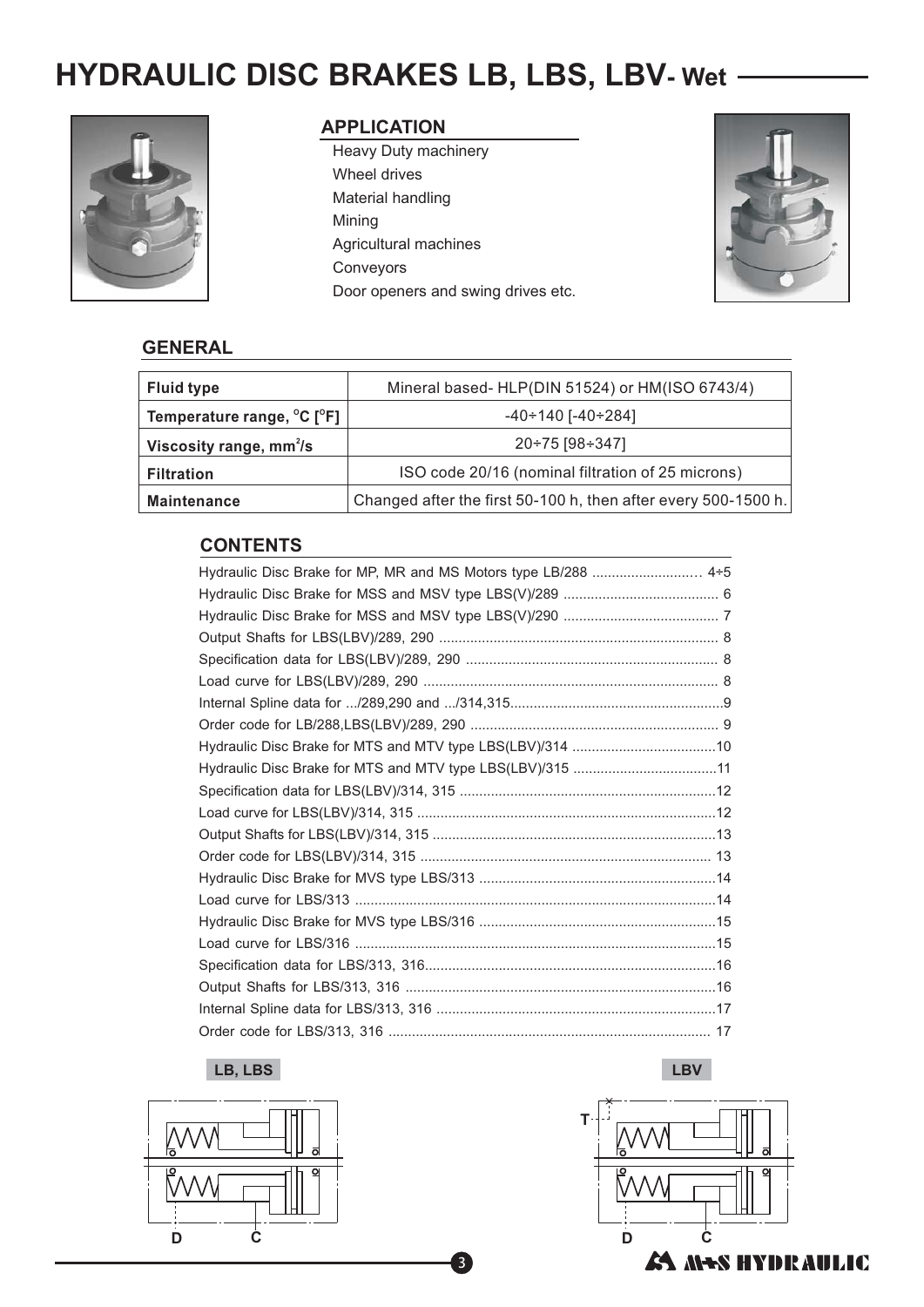# **HYDRAULIC DISC BRAKES LB, LBS, LBV- Wet**



#### **APPLICATION**

Heavy Duty machinery Mining Agricultural machines Conveyors Wheel drives Material handling Door openers and swing drives etc.



#### **GENERAL**

| <b>Fluid type</b>          | Mineral based- HLP(DIN 51524) or HM(ISO 6743/4)                |
|----------------------------|----------------------------------------------------------------|
| Temperature range, °C [°F] | $-40 \div 140$ [ $-40 \div 284$ ]                              |
| Viscosity range, $mm2/s$   | 20÷75 [98÷347]                                                 |
| <b>Filtration</b>          | ISO code 20/16 (nominal filtration of 25 microns)              |
| <b>Maintenance</b>         | Changed after the first 50-100 h, then after every 500-1500 h. |

## **CONTENTS**

| Hydraulic Disc Brake for MP, MR and MS Motors type LB/288  4+5 |
|----------------------------------------------------------------|
|                                                                |
|                                                                |
|                                                                |
|                                                                |
|                                                                |
|                                                                |
|                                                                |
|                                                                |
| Hydraulic Disc Brake for MTS and MTV type LBS(LBV)/315 11      |
|                                                                |
|                                                                |
|                                                                |
|                                                                |
|                                                                |
|                                                                |
|                                                                |
|                                                                |
|                                                                |
|                                                                |
|                                                                |
|                                                                |

3

#### **LB, LBS LBV**



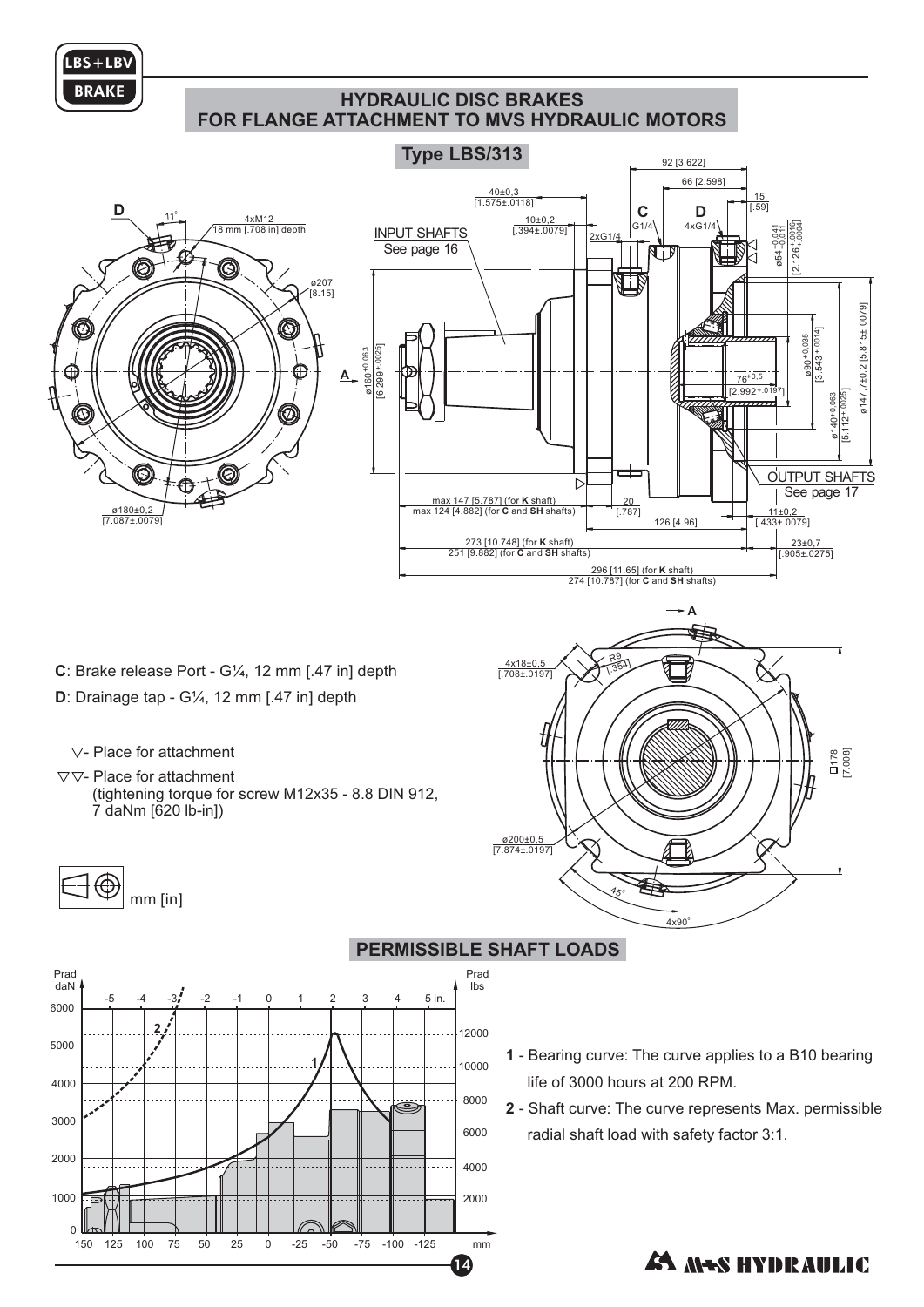

1000

0

150 125 100 75

## **HYDRAULIC DISC BRAKES FOR FLANGE ATTACHMENT TO MVS HYDRAULIC MOTORS**



14

50 25 0 -25 -50 -75 -100 -125 mm

2000

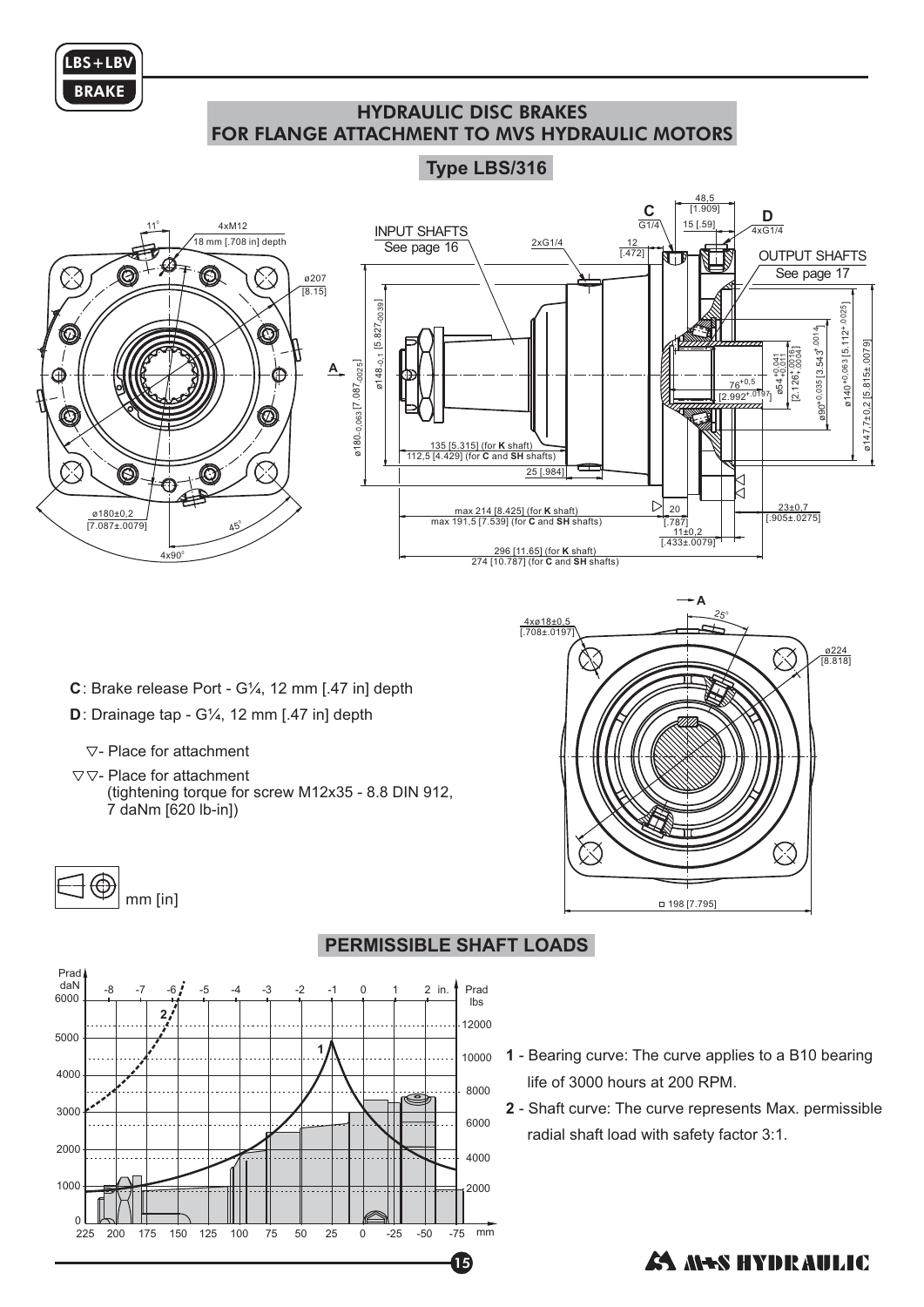

## HYDRAULIC DISC BRAKES FOR FLANGE ATTACHMENT TO MVS HYDRAULIC MOTORS

## **Type LBS/316**



4xø18±0,5 [.708±.0197]

- **C** : Brake release Port G¼, 12 mm [.47 in] depth
- **D** : Drainage tap G¼, 12 mm [.47 in] depth
	- $\nabla$  Place for attachment
- $\nabla \nabla$  Place for attachment (tightening torque for screw M12x35 - 8.8 DIN 912, 7 daNm [620 lb-in])



## **PERMISSIBLE SHAFT LOADS**



**1** - Bearing curve: The curve applies to a B10 bearing life of 3000 hours at 200 RPM.

 $25$ 

ø224 [8.818]

ČЗ

 $\oslash$ 

**2** - Shaft curve: The curve represents Max. permissible radial shaft load with safety factor 3:1.

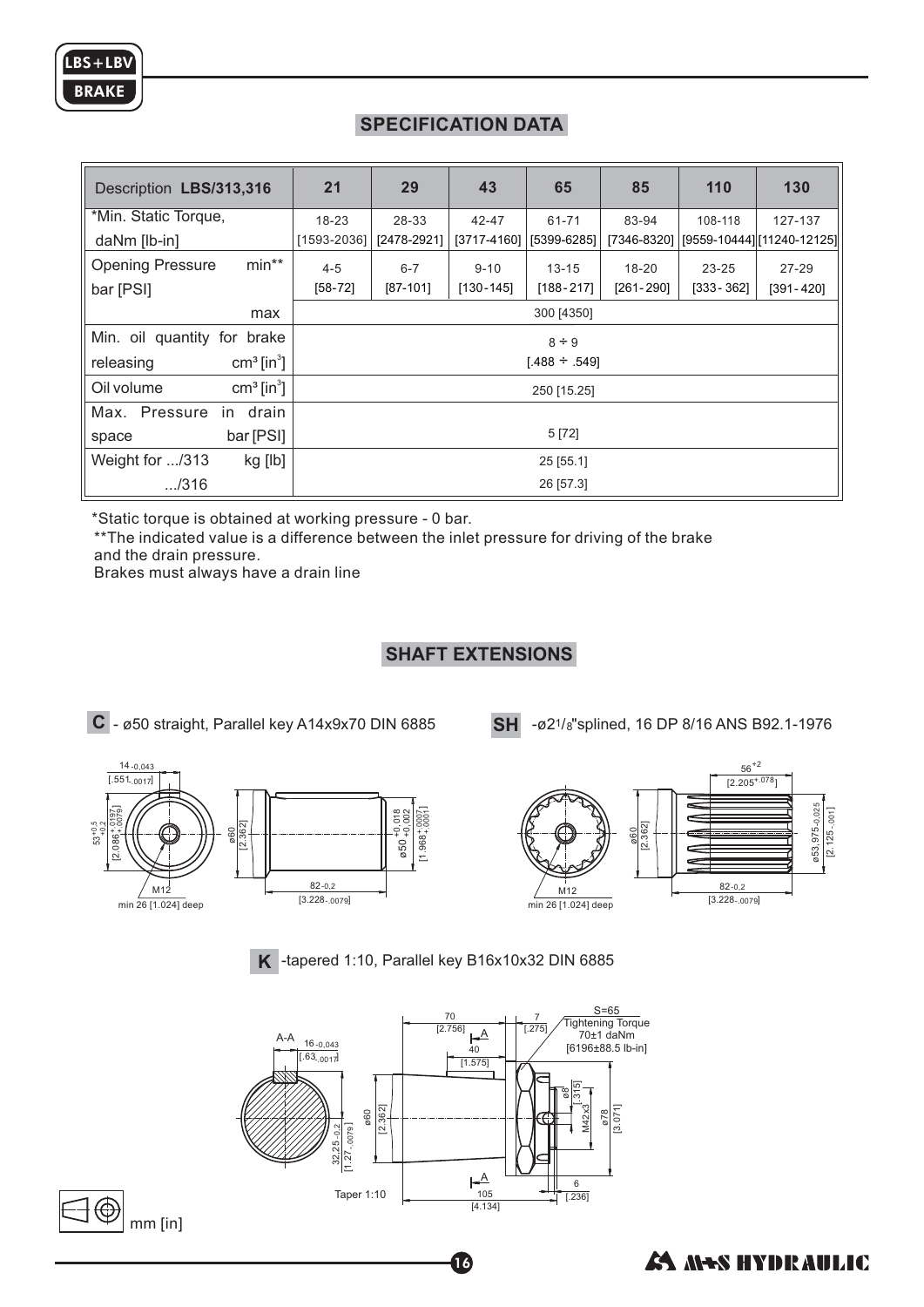# **SPECIFICATION DATA**

| Description LBS/313,316                        | 21                 | 29          | 43            | 65            | 85            | 110           | 130                                     |
|------------------------------------------------|--------------------|-------------|---------------|---------------|---------------|---------------|-----------------------------------------|
| *Min. Static Torque,                           | $18 - 23$          | 28-33       | 42-47         | 61-71         | 83-94         | 108-118       | 127-137                                 |
| daNm [lb-in]                                   | [1593-2036]        | [2478-2921] | [3717-4160]   | [5399-6285]   |               |               | [7346-8320] [[9559-10444] [11240-12125] |
| $min**$<br><b>Opening Pressure</b>             | $4 - 5$            | $6 - 7$     | $9 - 10$      | $13 - 15$     | $18 - 20$     | $23 - 25$     | $27 - 29$                               |
| bar [PSI]                                      | $[58-72]$          | $[87-101]$  | $[130 - 145]$ | $[188 - 217]$ | $[261 - 290]$ | $[333 - 362]$ | $[391 - 420]$                           |
| max                                            | 300 [4350]         |             |               |               |               |               |                                         |
| Min. oil quantity for brake                    | $8 \div 9$         |             |               |               |               |               |                                         |
| $cm3$ [in <sup>3</sup> ]<br>releasing          | $[.488 \div .549]$ |             |               |               |               |               |                                         |
| $\text{cm}^3$ [in <sup>3</sup> ]<br>Oil volume | 250 [15.25]        |             |               |               |               |               |                                         |
| Max. Pressure<br>in drain                      |                    |             |               |               |               |               |                                         |
| bar [PSI]<br>space                             | 5 [72]             |             |               |               |               |               |                                         |
| Weight for /313<br>kg [lb]                     | $25$ [55.1]        |             |               |               |               |               |                                         |
| $-.7316$                                       | 26 [57.3]          |             |               |               |               |               |                                         |

\*Static torque is obtained at working pressure - 0 bar.

\*\* The indicated value is a difference between the inlet pressure for driving of the brake and the drain pressure.

Brakes must always have a drain line

## **SHAFT EXTENSIONS**

**C** - ø50 straight, Parallel key A14x9x70 DIN 6885

**SH**  $-$ *ø*2<sup>1</sup>/8" splined, 16 DP 8/16 ANS B92.1-1976





**K** -tapered 1:10, Parallel key B16x10x32 DIN 6885



16